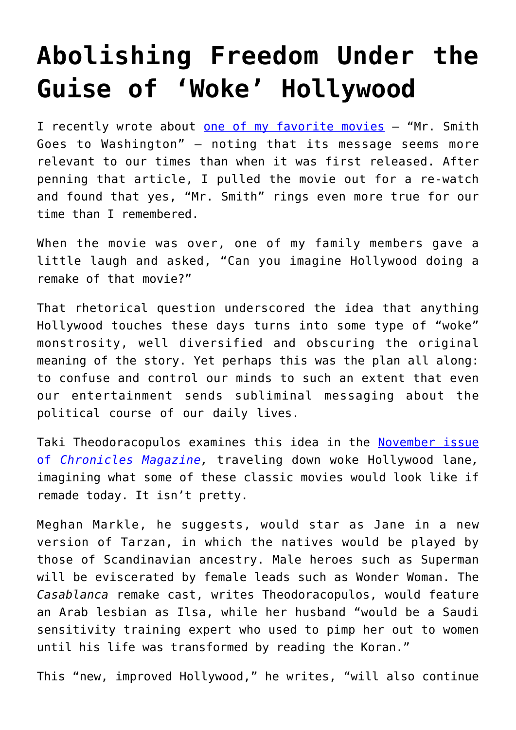## **[Abolishing Freedom Under the](https://intellectualtakeout.org/2020/11/abolishing-freedom-under-the-guise-of-woke-hollywood/) [Guise of 'Woke' Hollywood](https://intellectualtakeout.org/2020/11/abolishing-freedom-under-the-guise-of-woke-hollywood/)**

I recently wrote about [one of my favorite movies](https://www.intellectualtakeout.org/2020-needs-mr--smith-more-than-1940-did/) - "Mr. Smith Goes to Washington" – noting that its message seems more relevant to our times than when it was first released. After penning that article, I pulled the movie out for a re-watch and found that yes, "Mr. Smith" rings even more true for our time than I remembered.

When the movie was over, one of my family members gave a little laugh and asked, "Can you imagine Hollywood doing a remake of that movie?"

That rhetorical question underscored the idea that anything Hollywood touches these days turns into some type of "woke" monstrosity, well diversified and obscuring the original meaning of the story. Yet perhaps this was the plan all along: to confuse and control our minds to such an extent that even our entertainment sends subliminal messaging about the political course of our daily lives.

Taki Theodoracopulos examines this idea in the [November issue](https://www.chroniclesmagazine.org/hollywood-remakes-the-culture/) [of](https://www.chroniclesmagazine.org/hollywood-remakes-the-culture/) *[Chronicles Magazine](https://www.chroniclesmagazine.org/hollywood-remakes-the-culture/),* traveling down woke Hollywood lane*,* imagining what some of these classic movies would look like if remade today. It isn't pretty.

Meghan Markle, he suggests, would star as Jane in a new version of Tarzan, in which the natives would be played by those of Scandinavian ancestry. Male heroes such as Superman will be eviscerated by female leads such as Wonder Woman. The *Casablanca* remake cast, writes Theodoracopulos, would feature an Arab lesbian as Ilsa, while her husband "would be a Saudi sensitivity training expert who used to pimp her out to women until his life was transformed by reading the Koran."

This "new, improved Hollywood," he writes, "will also continue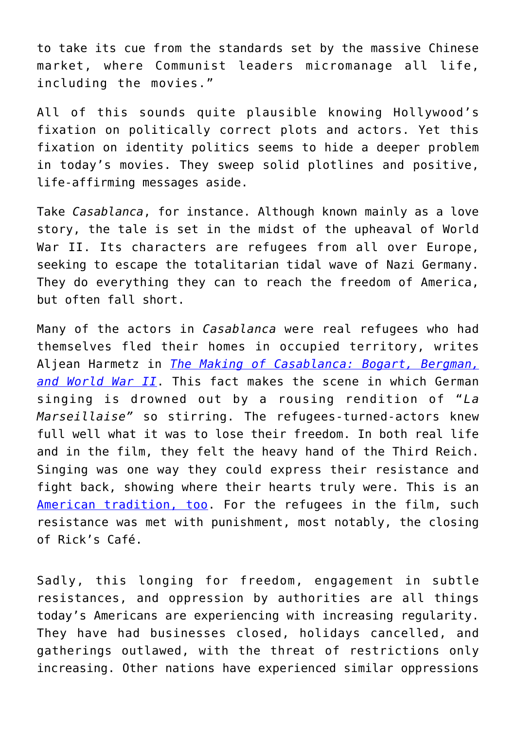to take its cue from the standards set by the massive Chinese market, where Communist leaders micromanage all life, including the movies."

All of this sounds quite plausible knowing Hollywood's fixation on politically correct plots and actors. Yet this fixation on identity politics seems to hide a deeper problem in today's movies. They sweep solid plotlines and positive, life-affirming messages aside.

Take *Casablanca*, for instance. Although known mainly as a love story, the tale is set in the midst of the upheaval of World War II. Its characters are refugees from all over Europe, seeking to escape the totalitarian tidal wave of Nazi Germany. They do everything they can to reach the freedom of America, but often fall short.

Many of the actors in *Casablanca* were real refugees who had themselves fled their homes in occupied territory, writes Aljean Harmetz in *[The Making of Casablanca: Bogart, Bergman,](https://www.amazon.com/gp/product/0786888148/ref=as_li_qf_asin_il_tl?ie=UTF8&tag=intelltakeo0d-20&creative=9325&linkCode=as2&creativeASIN=0786888148&linkId=4655b9d9aad2188b795269295cb29ea7) [and World War II](https://www.amazon.com/gp/product/0786888148/ref=as_li_qf_asin_il_tl?ie=UTF8&tag=intelltakeo0d-20&creative=9325&linkCode=as2&creativeASIN=0786888148&linkId=4655b9d9aad2188b795269295cb29ea7)*. This fact makes the scene in which German singing is drowned out by a rousing rendition of "*La Marseillaise"* so stirring. The refugees-turned-actors knew full well what it was to lose their freedom. In both real life and in the film, they felt the heavy hand of the Third Reich. Singing was one way they could express their resistance and fight back, showing where their hearts truly were. This is an [American tradition, too](https://www.intellectualtakeout.org/civil-disobedience--homestyle/). For the refugees in the film, such resistance was met with punishment, most notably, the closing of Rick's Café.

Sadly, this longing for freedom, engagement in subtle resistances, and oppression by authorities are all things today's Americans are experiencing with increasing regularity. They have had businesses closed, holidays cancelled, and gatherings outlawed, with the threat of restrictions only increasing. Other nations have experienced similar oppressions